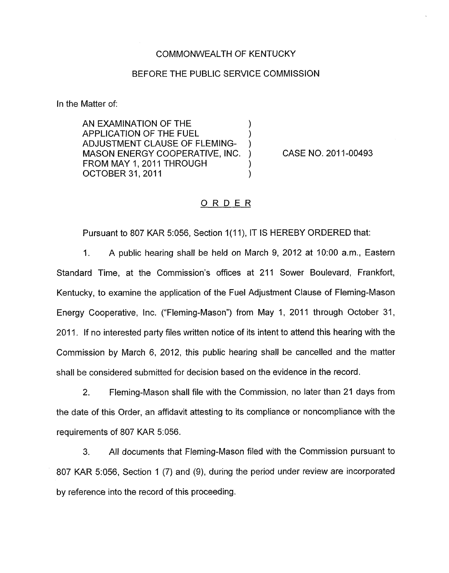## COMMONWEALTH OF KENTUCKY

## BEFORE THE PUBLIC SERVICE COMMISSION

In the Matter of:

AN EXAMINATION OF THE (APPLICATION OF THE FUEL (APPLICATION OF THE FUEL  $\qquad \qquad$ ) APPLICATION OF THE FUEL ) ADJUSTMENT CLAUSE OF FLEMING-MASON ENERGY COOPERATIVE, INC. ) CASE NO. 2011-00493 FROM MAY 1, 2011 THROUGH OCTOBER 31, 2011 1 (1999)

## ORDER

Pursuant to 807 KAR 5:056, Section 1(11), IT IS HEREBY ORDERED that:

I. A public hearing shall be held on March 9, 2012 at 1O:OO a.m., Eastern Standard Time, at the Commission's offices at 211 Sower Boulevard, Frankfort, Kentucky, to examine the application of the Fuel Adjustment Clause of Fleming-Mason Energy Cooperative, Inc. ("Fleming-Mason") from May 1, 2011 through October 31, 2011. If no interested party files written notice of its intent to attend this hearing with the Commission by March 6, 2012, this public hearing shall be cancelled and the matter shall be considered submitted for decision based on the evidence in the record

2. Fleming-Mason shall file with the Commission, no later than 21 days from the date of this Order, an affidavit attesting to its compliance or noncompliance with the requirements of 807 KAR 5:056.

**3.** All documents that Fleming-Mason filed with the Commission pursuant to 807 KAR 5:056, Section 1 (7) and *(S),* during the period under review are incorporated by reference into the record of this proceeding.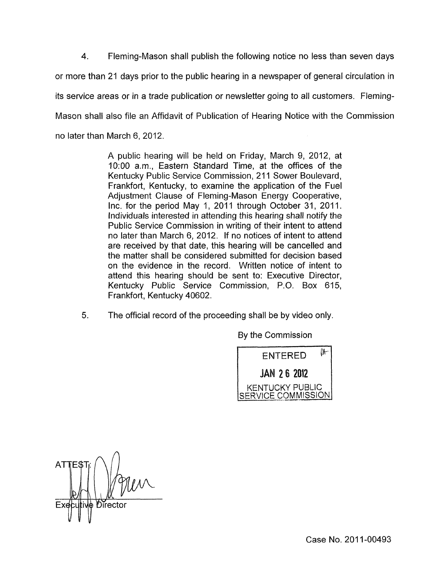**4.** Fleming-Mason shall publish the following notice no less than seven days or more than 21 days prior to the public hearing in a newspaper of general circulation in its service areas or in a trade publication or newsletter going to all customers. Fleming-Mason shall also file an Affidavit of Publication of Hearing Notice with the Commission no later than March 6, 2012.

> A public hearing will be held on Friday, March 9, 2012, at 1O:OO a.m., Eastern Standard Time, at the offices of the Kentucky Public Service Commission, 211 Sower Boulevard, Frankfort, Kentucky, to examine the application of the Fuel Adjustment Clause of Fleming-Mason Energy Cooperative, Inc. for the period May 1, 2011 through October 31, 2011. Individuals interested in attending this hearing shall notify the Public Service Commission in writing of their intent to attend no later than March 6, 2012. If no notices of intent to attend are received by that date, this hearing will be cancelled and the matter shall be considered submitted for decision based on the evidence in the record. Written notice of intent to attend this hearing should be sent to: Executive Director, Kentucky Public Service Commission, P.O. Box 615, Frankfort, Kentucky 40602.

*5.* The official record of the proceeding shall be by video only.

By the Commission



Director